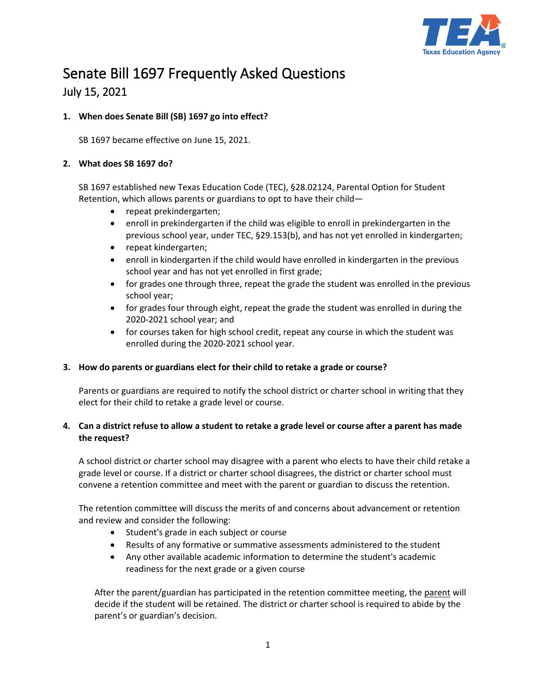

# Senate Bill 1697 Frequently Asked Questions July 15, 2021

## **1. When does Senate Bill (SB) 1697 go into effect?**

SB 1697 became effective on June 15, 2021.

#### **2. What does SB 1697 do?**

SB 1697 established new Texas Education Code (TEC), §28.02124, Parental Option for Student Retention, which allows parents or guardians to opt to have their child—

- repeat prekindergarten;
- enroll in prekindergarten if the child was eligible to enroll in prekindergarten in the previous school year, under TEC, §29.153(b), and has not yet enrolled in kindergarten;
- repeat kindergarten;
- enroll in kindergarten if the child would have enrolled in kindergarten in the previous school year and has not yet enrolled in first grade;
- for grades one through three, repeat the grade the student was enrolled in the previous school year;
- for grades four through eight, repeat the grade the student was enrolled in during the 2020-2021 school year; and
- for courses taken for high school credit, repeat any course in which the student was enrolled during the 2020-2021 school year.

#### **3. How do parents or guardians elect for their child to retake a grade or course?**

Parents or guardians are required to notify the school district or charter school in writing that they elect for their child to retake a grade level or course.

## **4. Can a district refuse to allow a student to retake a grade level or course after a parent has made the request?**

A school district or charter school may disagree with a parent who elects to have their child retake a grade level or course. If a district or charter school disagrees, the district or charter school must convene a retention committee and meet with the parent or guardian to discuss the retention.

The retention committee will discuss the merits of and concerns about advancement or retention and review and consider the following:

- Student's grade in each subject or course
- Results of any formative or summative assessments administered to the student
- Any other available academic information to determine the student's academic readiness for the next grade or a given course

After the parent/guardian has participated in the retention committee meeting, the parent will decide if the student will be retained. The district or charter school is required to abide by the parent's or guardian's decision.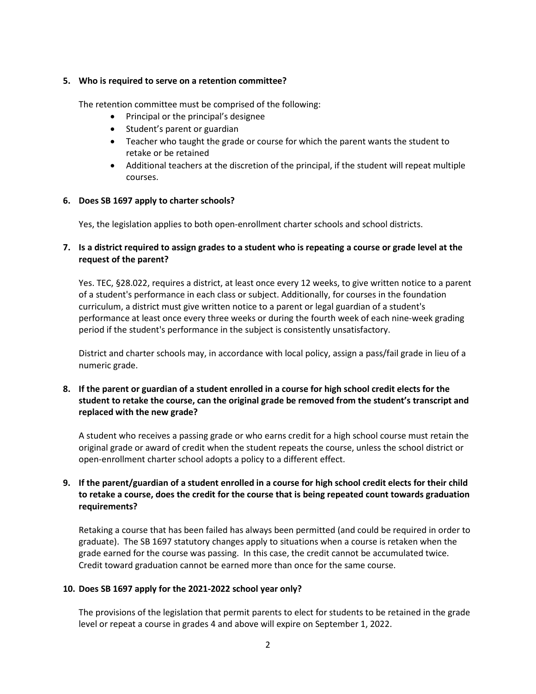#### **5. Who is required to serve on a retention committee?**

The retention committee must be comprised of the following:

- Principal or the principal's designee
- Student's parent or guardian
- Teacher who taught the grade or course for which the parent wants the student to retake or be retained
- Additional teachers at the discretion of the principal, if the student will repeat multiple courses.

#### **6. Does SB 1697 apply to charter schools?**

Yes, the legislation applies to both open-enrollment charter schools and school districts.

#### **7. Is a district required to assign grades to a student who is repeating a course or grade level at the request of the parent?**

Yes. TEC, §28.022, requires a district, at least once every 12 weeks, to give written notice to a parent of a student's performance in each class or subject. Additionally, for courses in the foundation curriculum, a district must give written notice to a parent or legal guardian of a student's performance at least once every three weeks or during the fourth week of each nine-week grading period if the student's performance in the subject is consistently unsatisfactory.

District and charter schools may, in accordance with local policy, assign a pass/fail grade in lieu of a numeric grade.

## **8. If the parent or guardian of a student enrolled in a course for high school credit elects for the student to retake the course, can the original grade be removed from the student's transcript and replaced with the new grade?**

A student who receives a passing grade or who earns credit for a high school course must retain the original grade or award of credit when the student repeats the course, unless the school district or open-enrollment charter school adopts a policy to a different effect.

## **9. If the parent/guardian of a student enrolled in a course for high school credit elects for their child to retake a course, does the credit for the course that is being repeated count towards graduation requirements?**

Retaking a course that has been failed has always been permitted (and could be required in order to graduate). The SB 1697 statutory changes apply to situations when a course is retaken when the grade earned for the course was passing. In this case, the credit cannot be accumulated twice. Credit toward graduation cannot be earned more than once for the same course.

#### **10. Does SB 1697 apply for the 2021-2022 school year only?**

The provisions of the legislation that permit parents to elect for students to be retained in the grade level or repeat a course in grades 4 and above will expire on September 1, 2022.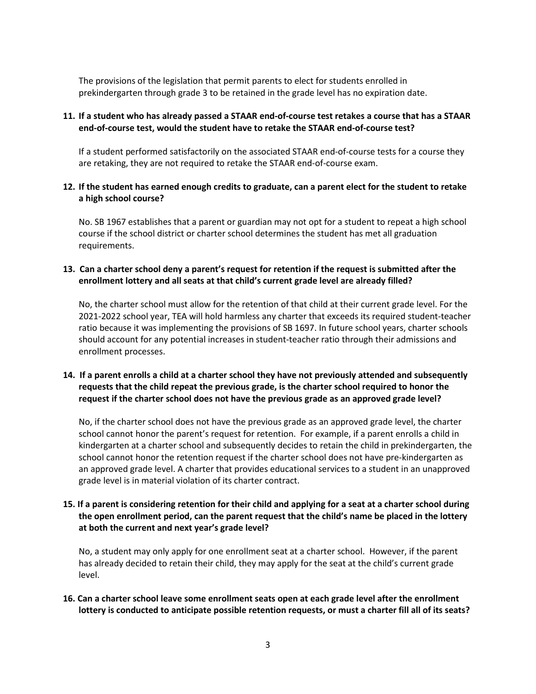The provisions of the legislation that permit parents to elect for students enrolled in prekindergarten through grade 3 to be retained in the grade level has no expiration date.

## **11. If a student who has already passed a STAAR end-of-course test retakes a course that has a STAAR end-of-course test, would the student have to retake the STAAR end-of-course test?**

If a student performed satisfactorily on the associated STAAR end-of-course tests for a course they are retaking, they are not required to retake the STAAR end-of-course exam.

#### **12. If the student has earned enough credits to graduate, can a parent elect for the student to retake a high school course?**

No. SB 1967 establishes that a parent or guardian may not opt for a student to repeat a high school course if the school district or charter school determines the student has met all graduation requirements.

#### **13. Can a charter school deny a parent's request for retention if the request is submitted after the enrollment lottery and all seats at that child's current grade level are already filled?**

No, the charter school must allow for the retention of that child at their current grade level. For the 2021-2022 school year, TEA will hold harmless any charter that exceeds its required student-teacher ratio because it was implementing the provisions of SB 1697. In future school years, charter schools should account for any potential increases in student-teacher ratio through their admissions and enrollment processes.

## **14. If a parent enrolls a child at a charter school they have not previously attended and subsequently requests that the child repeat the previous grade, is the charter school required to honor the request if the charter school does not have the previous grade as an approved grade level?**

No, if the charter school does not have the previous grade as an approved grade level, the charter school cannot honor the parent's request for retention. For example, if a parent enrolls a child in kindergarten at a charter school and subsequently decides to retain the child in prekindergarten, the school cannot honor the retention request if the charter school does not have pre-kindergarten as an approved grade level. A charter that provides educational services to a student in an unapproved grade level is in material violation of its charter contract.

## **15. If a parent is considering retention for their child and applying for a seat at a charter school during the open enrollment period, can the parent request that the child's name be placed in the lottery at both the current and next year's grade level?**

No, a student may only apply for one enrollment seat at a charter school. However, if the parent has already decided to retain their child, they may apply for the seat at the child's current grade level.

## **16. Can a charter school leave some enrollment seats open at each grade level after the enrollment lottery is conducted to anticipate possible retention requests, or must a charter fill all of its seats?**